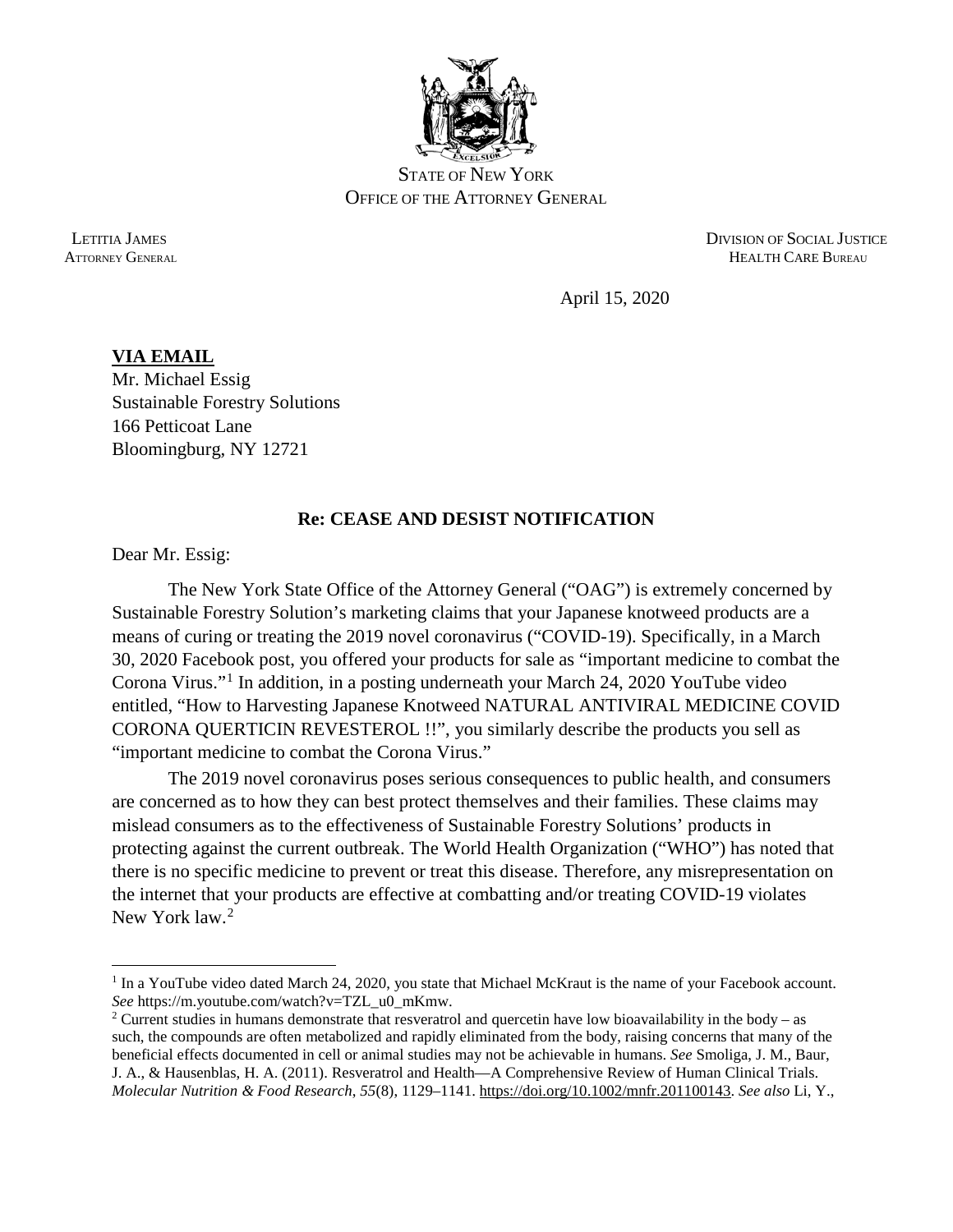

STATE OF NEW YORK OFFICE OF THE ATTORNEY GENERAL

 LETITIA JAMES DIVISION OF SOCIAL JUSTICE ATTORNEY GENERAL **HEALTH CARE BUREAU** 

April 15, 2020

## **VIA EMAIL** Mr. Michael Essig Sustainable Forestry Solutions 166 Petticoat Lane Bloomingburg, NY 12721

## **Re: CEASE AND DESIST NOTIFICATION**

Dear Mr. Essig:

l

The New York State Office of the Attorney General ("OAG") is extremely concerned by Sustainable Forestry Solution's marketing claims that your Japanese knotweed products are a means of curing or treating the 2019 novel coronavirus ("COVID-19). Specifically, in a March 30, 2020 Facebook post, you offered your products for sale as "important medicine to combat the Corona Virus."[1](#page-0-0) In addition, in a posting underneath your March 24, 2020 YouTube video entitled, "How to Harvesting Japanese Knotweed NATURAL ANTIVIRAL MEDICINE COVID CORONA QUERTICIN REVESTEROL !!", you similarly describe the products you sell as "important medicine to combat the Corona Virus."

The 2019 novel coronavirus poses serious consequences to public health, and consumers are concerned as to how they can best protect themselves and their families. These claims may mislead consumers as to the effectiveness of Sustainable Forestry Solutions' products in protecting against the current outbreak. The World Health Organization ("WHO") has noted that there is no specific medicine to prevent or treat this disease. Therefore, any misrepresentation on the internet that your products are effective at combatting and/or treating COVID-19 violates New York law.<sup>[2](#page-0-1)</sup>

<span id="page-0-0"></span><sup>&</sup>lt;sup>1</sup> In a YouTube video dated March 24, 2020, you state that Michael McKraut is the name of your Facebook account. *See* https://m.youtube.com/watch?v=TZL\_u0\_mKmw.

<span id="page-0-1"></span><sup>&</sup>lt;sup>2</sup> Current studies in humans demonstrate that resveratrol and quercetin have low bioavailability in the body – as such, the compounds are often metabolized and rapidly eliminated from the body, raising concerns that many of the beneficial effects documented in cell or animal studies may not be achievable in humans. *See* Smoliga, J. M., Baur, J. A., & Hausenblas, H. A. (2011). Resveratrol and Health—A Comprehensive Review of Human Clinical Trials. *Molecular Nutrition & Food Research*, *55*(8), 1129–1141. [https://doi.org/10.1002/mnfr.201100143.](https://doi.org/10.1002/mnfr.201100143) *See also* Li, Y.,